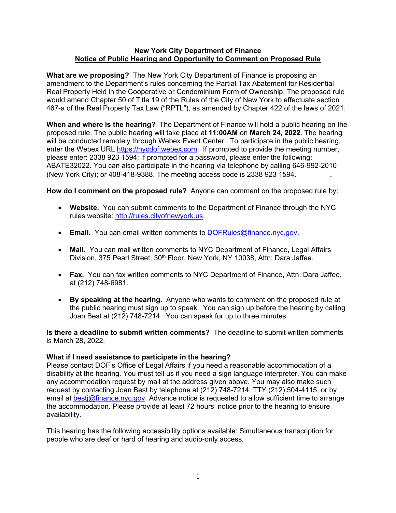#### **New York City Department of Finance Notice of Public Hearing and Opportunity to Comment on Proposed Rule**

**What are we proposing?** The New York City Department of Finance is proposing an amendment to the Department's rules concerning the Partial Tax Abatement for Residential Real Property Held in the Cooperative or Condominium Form of Ownership. The proposed rule would amend Chapter 50 of Title 19 of the Rules of the City of New York to effectuate section 467-a of the Real Property Tax Law ("RPTL"), as amended by Chapter 422 of the laws of 2021.

**When and where is the hearing?** The Department of Finance will hold a public hearing on the proposed rule. The public hearing will take place at **11:00AM** on **March 24, 2022**. The hearing will be conducted remotely through Webex Event Center. To participate in the public hearing, enter the Webex URL [https://nycdof.webex.com.](https://nycdof.webex.com/) If prompted to provide the meeting number, please enter: 2338 923 1594; If prompted for a password, please enter the following: ABATE32022. You can also participate in the hearing via telephone by calling 646-992-2010 (New York City); or 408-418-9388. The meeting access code is 2338 923 1594. .

**How do I comment on the proposed rule?** Anyone can comment on the proposed rule by:

- **Website.** You can submit comments to the Department of Finance through the NYC rules website: [http://rules.cityofnewyork.us](http://rules.cityofnewyork.us/).
- **Email.** You can email written comments to [DOFRules@finance.nyc.gov.](mailto:DOFRules@finance.nyc.gov)
- **Mail.** You can mail written comments to NYC Department of Finance, Legal Affairs Division, 375 Pearl Street, 30<sup>th</sup> Floor, New York, NY 10038, Attn: Dara Jaffee.
- **Fax.** You can fax written comments to NYC Department of Finance, Attn: Dara Jaffee, at (212) 748-6981.
- **By speaking at the hearing.** Anyone who wants to comment on the proposed rule at the public hearing must sign up to speak. You can sign up before the hearing by calling Joan Best at (212) 748-7214. You can speak for up to three minutes.

**Is there a deadline to submit written comments?** The deadline to submit written comments is March 28, 2022.

# **What if I need assistance to participate in the hearing?**

Please contact DOF's Office of Legal Affairs if you need a reasonable accommodation of a disability at the hearing. You must tell us if you need a sign language interpreter. You can make any accommodation request by mail at the address given above. You may also make such request by contacting Joan Best by telephone at (212) 748-7214; TTY (212) 504-4115, or by email at [bestj@finance.nyc.gov](mailto:bestj@finance.nyc.gov). Advance notice is requested to allow sufficient time to arrange the accommodation. Please provide at least 72 hours' notice prior to the hearing to ensure availability.

This hearing has the following accessibility options available: Simultaneous transcription for people who are deaf or hard of hearing and audio-only access.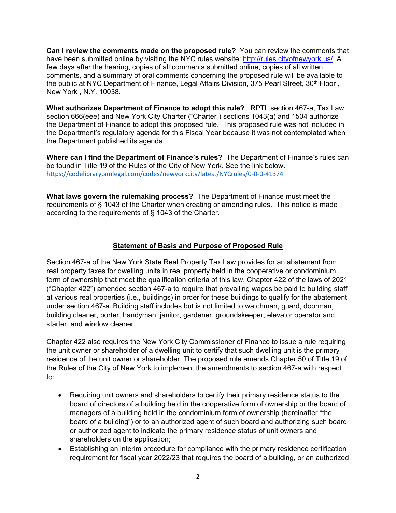**Can I review the comments made on the proposed rule?** You can review the comments that have been submitted online by visiting the NYC rules website: [http://rules.cityofnewyork.us/.](http://rules.cityofnewyork.us/) A few days after the hearing, copies of all comments submitted online, copies of all written comments, and a summary of oral comments concerning the proposed rule will be available to the public at NYC Department of Finance, Legal Affairs Division, 375 Pearl Street, 30<sup>th</sup> Floor, New York , N.Y. 10038.

**What authorizes Department of Finance to adopt this rule?** RPTL section 467-a, Tax Law section 666(eee) and New York City Charter ("Charter") sections 1043(a) and 1504 authorize the Department of Finance to adopt this proposed rule. This proposed rule was not included in the Department's regulatory agenda for this Fiscal Year because it was not contemplated when the Department published its agenda.

**Where can I find the Department of Finance's rules?** The Department of Finance's rules can be found in Title 19 of the Rules of the City of New York. See the link below. <https://codelibrary.amlegal.com/codes/newyorkcity/latest/NYCrules/0-0-0-41374>

**What laws govern the rulemaking process?** The Department of Finance must meet the requirements of § 1043 of the Charter when creating or amending rules. This notice is made according to the requirements of § 1043 of the Charter.

# **Statement of Basis and Purpose of Proposed Rule**

Section 467-a of the New York State Real Property Tax Law provides for an abatement from real property taxes for dwelling units in real property held in the cooperative or condominium form of ownership that meet the qualification criteria of this law. Chapter 422 of the laws of 2021 ("Chapter 422") amended section 467-a to require that prevailing wages be paid to building staff at various real properties (i.e., buildings) in order for these buildings to qualify for the abatement under section 467-a. Building staff includes but is not limited to watchman, guard, doorman, building cleaner, porter, handyman, janitor, gardener, groundskeeper, elevator operator and starter, and window cleaner.

Chapter 422 also requires the New York City Commissioner of Finance to issue a rule requiring the unit owner or shareholder of a dwelling unit to certify that such dwelling unit is the primary residence of the unit owner or shareholder. The proposed rule amends Chapter 50 of Title 19 of the Rules of the City of New York to implement the amendments to section 467-a with respect to:

- Requiring unit owners and shareholders to certify their primary residence status to the board of directors of a building held in the cooperative form of ownership or the board of managers of a building held in the condominium form of ownership (hereinafter "the board of a building") or to an authorized agent of such board and authorizing such board or authorized agent to indicate the primary residence status of unit owners and shareholders on the application;
- Establishing an interim procedure for compliance with the primary residence certification requirement for fiscal year 2022/23 that requires the board of a building, or an authorized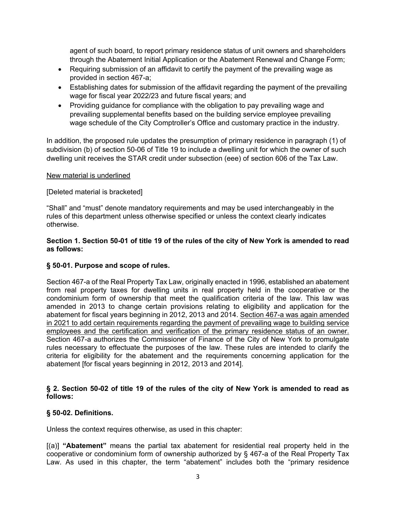agent of such board, to report primary residence status of unit owners and shareholders through the Abatement Initial Application or the Abatement Renewal and Change Form;

- Requiring submission of an affidavit to certify the payment of the prevailing wage as provided in section 467-a;
- Establishing dates for submission of the affidavit regarding the payment of the prevailing wage for fiscal year 2022/23 and future fiscal years; and
- Providing guidance for compliance with the obligation to pay prevailing wage and prevailing supplemental benefits based on the building service employee prevailing wage schedule of the City Comptroller's Office and customary practice in the industry.

In addition, the proposed rule updates the presumption of primary residence in paragraph (1) of subdivision (b) of section 50-06 of Title 19 to include a dwelling unit for which the owner of such dwelling unit receives the STAR credit under subsection (eee) of section 606 of the Tax Law.

#### New material is underlined

# [Deleted material is bracketed]

"Shall" and "must" denote mandatory requirements and may be used interchangeably in the rules of this department unless otherwise specified or unless the context clearly indicates otherwise.

## Section 1. Section 50-01 of title 19 of the rules of the city of New York is amended to read **as follows:**

# **§ 50-01. Purpose and scope of rules.**

Section 467-a of the Real [Property](http://www.westlaw.com/Link/Document/FullText?findType=L&pubNum=1000131&cite=NYRXS467-A&originatingDoc=I2A6F44C336EF41C5B5B149BB8A537E87&refType=LQ&originationContext=document&vr=3.0&rs=cblt1.0&transitionType=DocumentItem&contextData=(sc.Category)) Tax Law, originally enacted in 1996, established an abatement from real property taxes for dwelling units in real property held in the cooperative or the condominium form of ownership that meet the qualification criteria of the law. This law was amended in 2013 to change certain provisions relating to eligibility and application for the abatement for fiscal years beginning in 2012, 2013 and 2014. Section 467-a was again amended in 2021 to add certain requirements regarding the payment of prevailing wage to building service employees and the certification and verification of the primary residence status of an owner. [Section](http://www.westlaw.com/Link/Document/FullText?findType=L&pubNum=1000131&cite=NYRXS467-A&originatingDoc=I2A6F44C336EF41C5B5B149BB8A537E87&refType=LQ&originationContext=document&vr=3.0&rs=cblt1.0&transitionType=DocumentItem&contextData=(sc.Category)) 467-a authorizes the Commissioner of Finance of the City of New York to promulgate rules necessary to effectuate the purposes of the law. These rules are intended to clarify the criteria for eligibility for the abatement and the requirements concerning application for the abatement [for fiscal years beginning in 2012, 2013 and 2014].

#### § 2. Section 50-02 of title 19 of the rules of the city of New York is amended to read as **follows:**

# **§ 50-02. Definitions.**

Unless the context requires otherwise, as used in this chapter:

[(a)] **"Abatement"** means the partial tax abatement for residential real property held in the cooperative or condominium form of ownership authorized by § 467-a of the Real [Property](http://www.westlaw.com/Link/Document/FullText?findType=L&pubNum=1000131&cite=NYRXS467-A&originatingDoc=IB618535630804563B4E50D513F260A8E&refType=LQ&originationContext=document&vr=3.0&rs=cblt1.0&transitionType=DocumentItem&contextData=(sc.Default)) Tax [Law](http://www.westlaw.com/Link/Document/FullText?findType=L&pubNum=1000131&cite=NYRXS467-A&originatingDoc=IB618535630804563B4E50D513F260A8E&refType=LQ&originationContext=document&vr=3.0&rs=cblt1.0&transitionType=DocumentItem&contextData=(sc.Default)). As used in this chapter, the term "abatement" includes both the "primary residence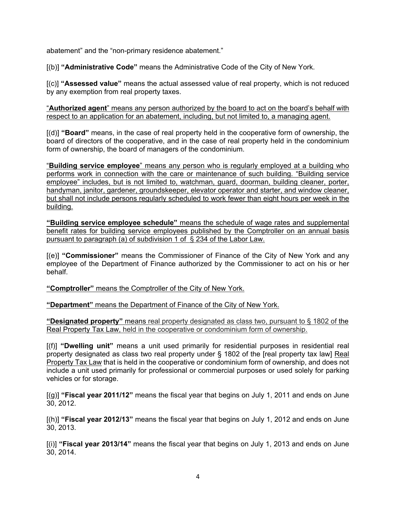abatement" and the "non-primary residence abatement."

[(b)] **"Administrative Code"** means the Administrative Code of the City of New York.

[(c)] **"Assessed value"** means the actual assessed value of real property, which is not reduced by any exemption from real property taxes.

"**Authorized agent**" means any person authorized by the board to act on the board's behalf with respect to an application for an abatement, including, but not limited to, a managing agent.

[(d)] **"Board"** means, in the case of real property held in the cooperative form of ownership, the board of directors of the cooperative, and in the case of real property held in the condominium form of ownership, the board of managers of the condominium.

"**Building service employee**" means any person who is regularly employed at a building who performs work in connection with the care or maintenance of such building. "Building service employee" includes, but is not limited to, watchman, guard, doorman, building cleaner, porter, handyman, janitor, gardener, groundskeeper, elevator operator and starter, and window cleaner, but shall not include persons regularly scheduled to work fewer than eight hours per week in the building.

**"Building service employee schedule"** means the schedule of wage rates and supplemental benefit rates for building service employees published by the Comptroller on an annual basis [pursuant](file:///C:/Users/afastenb/AppData/Local/Microsoft/Windows/INetCache/Content.Outlook/1SF6XW3Y/pursuant) to paragraph (a) of subdivision 1 of § 234 of the Labor Law.

[(e)] **"Commissioner"** means the Commissioner of Finance of the City of New York and any employee of the Department of Finance authorized by the Commissioner to act on his or her behalf.

**"Comptroller"** means the Comptroller of the City of New York.

**"Department"** means the Department of Finance of the City of New York.

**"Designated property"** means real property designated as class two, pursuant to § 1802 of the Real Property Tax Law, held in the cooperative or condominium form of ownership.

[(f)] **"Dwelling unit"** means a unit used primarily for residential purposes in residential real property designated as class two real property under § 1802 of the [real [property](http://www.westlaw.com/Link/Document/FullText?findType=L&pubNum=1000131&cite=NYRXS1802&originatingDoc=IB618535630804563B4E50D513F260A8E&refType=LQ&originationContext=document&vr=3.0&rs=cblt1.0&transitionType=DocumentItem&contextData=(sc.Default)) tax law] Real Property Tax Law that is held in the cooperative or condominium form of ownership, and does not include a unit used primarily for professional or commercial purposes or used solely for parking vehicles or for storage.

[(g)] **"Fiscal year 2011/12"** means the fiscal year that begins on July 1, 2011 and ends on June 30, 2012.

[(h)] **"Fiscal year 2012/13"** means the fiscal year that begins on July 1, 2012 and ends on June 30, 2013.

[(i)] **"Fiscal year 2013/14"** means the fiscal year that begins on July 1, 2013 and ends on June 30, 2014.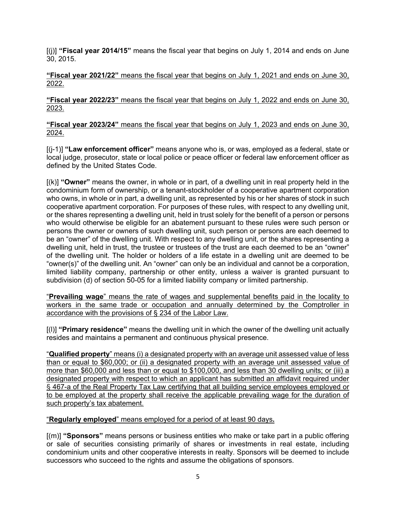[(j)] **"Fiscal year 2014/15"** means the fiscal year that begins on July 1, 2014 and ends on June 30, 2015.

**"Fiscal year 2021/22"** means the fiscal year that begins on July 1, 2021 and ends on June 30, 2022.

**"Fiscal year 2022/23"** means the fiscal year that begins on July 1, 2022 and ends on June 30, 2023.

**"Fiscal year 2023/24"** means the fiscal year that begins on July 1, 2023 and ends on June 30, 2024.

[(j-1)] **"Law enforcement officer"** means anyone who is, or was, employed as a federal, state or local judge, prosecutor, state or local police or peace officer or federal law enforcement officer as defined by the United States Code.

[(k)] **"Owner"** means the owner, in whole or in part, of a dwelling unit in real property held in the condominium form of ownership, or a tenant-stockholder of a cooperative apartment corporation who owns, in whole or in part, a dwelling unit, as represented by his or her shares of stock in such cooperative apartment corporation. For purposes of these rules, with respect to any dwelling unit, or the shares representing a dwelling unit, held in trust solely for the benefit of a person or persons who would otherwise be eligible for an abatement pursuant to these rules were such person or persons the owner or owners of such dwelling unit, such person or persons are each deemed to be an "owner" of the dwelling unit. With respect to any dwelling unit, or the shares representing a dwelling unit, held in trust, the trustee or trustees of the trust are each deemed to be an "owner" of the dwelling unit. The holder or holders of a life estate in a dwelling unit are deemed to be "owner(s)" of the dwelling unit. An "owner" can only be an individual and cannot be a corporation, limited liability company, partnership or other entity, unless a waiver is granted pursuant to subdivision (d) of section 50-05 for a limited liability company or limited partnership.

"**Prevailing wage**" means the rate of wages and supplemental benefits paid in the locality to workers in the same trade or occupation and annually determined by the Comptroller in accordance with the provisions of § 234 of the [Labor](http://www.westlaw.com/Link/Document/FullText?findType=L&pubNum=1000101&cite=NYLBS234&originatingDoc=NB673F5C010E911EC872EB800EBA44856&refType=LQ&originationContext=document&vr=3.0&rs=cblt1.0&transitionType=DocumentItem&contextData=(sc.Category)) Law.

[(l)] **"Primary residence"** means the dwelling unit in which the owner of the dwelling unit actually resides and maintains a permanent and continuous physical presence.

"**Qualified property**" means (i) a designated property with an average unit assessed value of less than or equal to \$60,000; or (ii) a designated property with an average unit assessed value of more than \$60,000 and less than or equal to \$100,000, and less than 30 dwelling units; or (iii) a designated property with respect to which an applicant has submitted an affidavit required under § 467-a of the Real Property Tax Law certifying that all building service employees employed or to be employed at the property shall receive the applicable prevailing wage for the duration of such property's tax abatement.

# "**Regularly employed**" means employed for a period of at least 90 days**.**

[(m)] **"Sponsors"** means persons or business entities who make or take part in a public offering or sale of securities consisting primarily of shares or investments in real estate, including condominium units and other cooperative interests in realty. Sponsors will be deemed to include successors who succeed to the rights and assume the obligations of sponsors.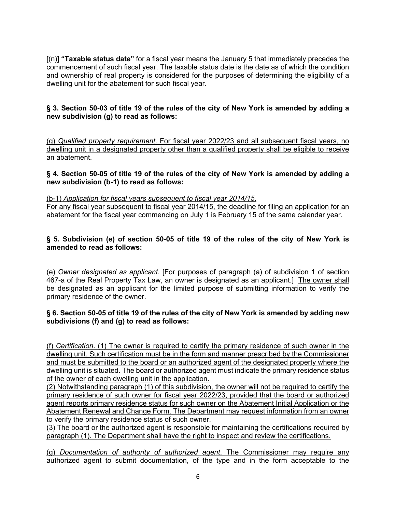[(n)] **"Taxable status date"** for a fiscal year means the January 5 that immediately precedes the commencement of such fiscal year. The taxable status date is the date as of which the condition and ownership of real property is considered for the purposes of determining the eligibility of a dwelling unit for the abatement for such fiscal year.

# § 3. Section 50-03 of title 19 of the rules of the city of New York is amended by adding a **new subdivision (g) to read as follows:**

(g) *Qualified property requirement*. For fiscal year 2022/23 and all subsequent fiscal years, no dwelling unit in a designated property other than a qualified property shall be eligible to receive an abatement.

## § 4. Section 50-05 of title 19 of the rules of the city of New York is amended by adding a **new subdivision (b-1) to read as follows:**

(b-1) *Application for fiscal years subsequent to fiscal year 2014/15*.

For any fiscal year subsequent to fiscal year 2014/15, the deadline for filing an application for an abatement for the fiscal year commencing on July 1 is February 15 of the same calendar year.

# § 5. Subdivision (e) of section 50-05 of title 19 of the rules of the city of New York is **amended to read as follows:**

(e) *Owner designated as applicant*. [For purposes of paragraph (a) of subdivision 1 of section 467-a of the Real Property Tax Law, an owner is designated as an applicant.] The owner shall be designated as an applicant for the limited purpose of submitting information to verify the primary residence of the owner.

# § 6. Section 50-05 of title 19 of the rules of the city of New York is amended by adding new **subdivisions (f) and (g) to read as follows:**

(f) *Certification*. (1) The owner is required to certify the primary residence of such owner in the dwelling unit. Such certification must be in the form and manner prescribed by the Commissioner and must be submitted to the board or an authorized agent of the designated property where the dwelling unit is situated. The board or authorized agent must indicate the primary residence status of the owner of each dwelling unit in the application.

(2) Notwithstanding paragraph (1) of this subdivision, the owner will not be required to certify the primary residence of such owner for fiscal year 2022/23, provided that the board or authorized agent reports primary residence status for such owner on the Abatement Initial Application or the Abatement Renewal and Change Form. The Department may request information from an owner to verify the primary residence status of such owner.

(3) The board or the authorized agent is responsible for maintaining the certifications required by paragraph (1). The Department shall have the right to inspect and review the certifications.

(g) *Documentation of authority of authorized agent*. The Commissioner may require any authorized agent to submit documentation, of the type and in the form acceptable to the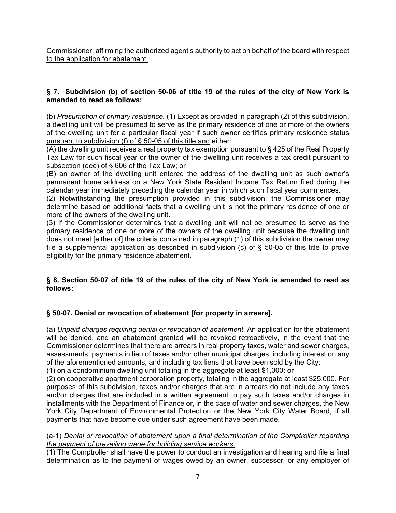Commissioner, affirming the authorized agent's authority to act on behalf of the board with respect to the application for abatement.

# **§ 7. Subdivision (b) of section 50-06 of title 19 of the rules of the city of New York is amended to read as follows:**

(b) *Presumption of primary residence.* (1) Except as provided in paragraph (2) of this subdivision, a dwelling unit will be presumed to serve as the primary residence of one or more of the owners of the dwelling unit for a particular fiscal year if such owner certifies primary residence status pursuant to subdivision (f) of § 50-05 of this title and either:

(A) the dwelling unit receives a real property tax exemption pursuant to § 425 of the Real [Property](http://www.westlaw.com/Link/Document/FullText?findType=L&pubNum=1000131&cite=NYRXS425&originatingDoc=I2B8D95166B1A47E881B3ED05AD0F4AD8&refType=LQ&originationContext=document&vr=3.0&rs=cblt1.0&transitionType=DocumentItem&contextData=(sc.Default)) Tax [Law](http://www.westlaw.com/Link/Document/FullText?findType=L&pubNum=1000131&cite=NYRXS425&originatingDoc=I2B8D95166B1A47E881B3ED05AD0F4AD8&refType=LQ&originationContext=document&vr=3.0&rs=cblt1.0&transitionType=DocumentItem&contextData=(sc.Default)) for such fiscal year or the owner of the dwelling unit receives a tax credit pursuant to subsection (eee) of § 606 of the Tax Law; or

(B) an owner of the dwelling unit entered the address of the dwelling unit as such owner's permanent home address on a New York State Resident Income Tax Return filed during the calendar year immediately preceding the calendar year in which such fiscal year commences.

(2) Notwithstanding the presumption provided in this subdivision, the Commissioner may determine based on additional facts that a dwelling unit is not the primary residence of one or more of the owners of the dwelling unit.

(3) If the Commissioner determines that a dwelling unit will not be presumed to serve as the primary residence of one or more of the owners of the dwelling unit because the dwelling unit does not meet [either of] the criteria contained in paragraph (1) of this subdivision the owner may file a supplemental application as described in subdivision (c) of  $\S$  50-05 of this title to prove eligibility for the primary residence abatement.

# § 8. Section 50-07 of title 19 of the rules of the city of New York is amended to read as **follows:**

# **§ 50-07. Denial or revocation of abatement [for property in arrears].**

(a) *Unpaid charges requiring denial or revocation of abatement.* An application for the abatement will be denied, and an abatement granted will be revoked retroactively, in the event that the Commissioner determines that there are arrears in real property taxes, water and sewer charges, assessments, payments in lieu of taxes and/or other municipal charges, including interest on any of the aforementioned amounts, and including tax liens that have been sold by the City:

(1) on a condominium dwelling unit totaling in the aggregate at least \$1,000; or

(2) on cooperative apartment corporation property, totaling in the aggregate at least \$25,000. For purposes of this subdivision, taxes and/or charges that are in arrears do not include any taxes and/or charges that are included in a written agreement to pay such taxes and/or charges in installments with the Department of Finance or, in the case of water and sewer charges, the New York City Department of Environmental Protection or the New York City Water Board, if all payments that have become due under such agreement have been made.

# (a-1) *Denial or revocation of abatement upon a final determination of the Comptroller regarding the payment of prevailing wage for building service workers*.

(1) The Comptroller shall have the power to conduct an investigation and hearing and file a final determination as to the payment of wages owed by an owner, successor, or any employer of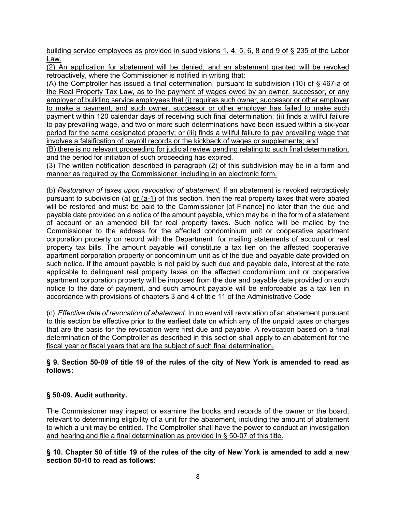building service employees as provided in subdivisions 1, 4, 5, 6, 8 and 9 of § 235 of the Labor Law.

(2) An application for abatement will be denied, and an abatement granted will be revoked retroactively, where the Commissioner is notified in writing that:

(A) the Comptroller has issued a final determination, pursuant to subdivision (10) of § 467-a of the Real Property Tax Law, as to the payment of wages owed by an owner, successor, or any employer of building service employees that (i) requires such owner, successor or other employer to make a payment, and such owner, successor or other employer has failed to make such payment within 120 calendar days of receiving such final determination; (ii) finds a willful failure to pay prevailing wage, and two or more such determinations have been issued within a six-year period for the same designated property; or (iii) finds a willful failure to pay prevailing wage that involves a falsification of payroll records or the kickback of wages or supplements; and

(B) there is no relevant proceeding for judicial review pending relating to such final determination, and the period for initiation of such proceeding has expired.

(3) The written notification described in paragraph (2) of this subdivision may be in a form and manner as required by the Commissioner, including in an electronic form.

(b) *Restoration of taxes upon revocation of abatement.* If an abatement is revoked retroactively pursuant to subdivision (a) or (a-1) of this section, then the real property taxes that were abated will be restored and must be paid to the Commissioner [of Finance] no later than the due and payable date provided on a notice of the amount payable, which may be in the form of a statement of account or an amended bill for real property taxes. Such notice will be mailed by the Commissioner to the address for the affected condominium unit or cooperative apartment corporation property on record with the Department for mailing statements of account or real property tax bills. The amount payable will constitute a tax lien on the affected cooperative apartment corporation property or condominium unit as of the due and payable date provided on such notice. If the amount payable is not paid by such due and payable date, interest at the rate applicable to delinquent real property taxes on the affected condominium unit or cooperative apartment corporation property will be imposed from the due and payable date provided on such notice to the date of payment, and such amount payable will be enforceable as a tax lien in accordance with provisions of chapters 3 and 4 of title 11 of the Administrative Code.

(c) *Effective date of revocation of abatement.* In no event will revocation of an abatement pursuant to this section be effective prior to the earliest date on which any of the unpaid taxes or charges that are the basis for the revocation were first due and payable. A revocation based on a final determination of the Comptroller as described in this section shall apply to an abatement for the fiscal year or fiscal years that are the subject of such final determination.

# § 9. Section 50-09 of title 19 of the rules of the city of New York is amended to read as **follows:**

# **§ 50-09. Audit authority.**

The Commissioner may inspect or examine the books and records of the owner or the board, relevant to determining eligibility of a unit for the abatement, including the amount of abatement to which a unit may be entitled. The Comptroller shall have the power to conduct an investigation and hearing and file a final determination as provided in § 50-07 of this title.

#### § 10. Chapter 50 of title 19 of the rules of the city of New York is amended to add a new **section 50-10 to read as follows:**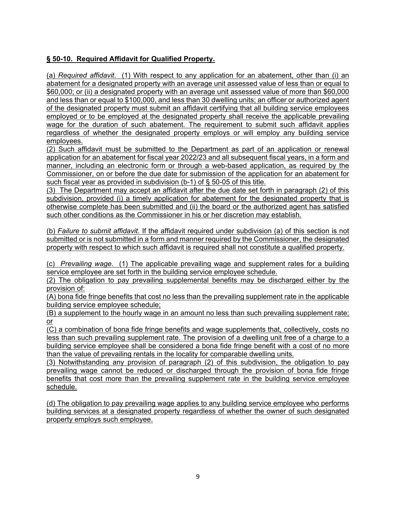# **§ 50-10. Required Affidavit for Qualified Property.**

(a) *Required affidavit*. (1) With respect to any application for an abatement, other than (i) an abatement for a designated property with an average unit assessed value of less than or equal to \$60,000; or (ii) a designated property with an average unit assessed value of more than \$60,000 and less than or equal to \$100,000, and less than 30 dwelling units; an officer or authorized agent of the designated property must submit an affidavit certifying that all building service employees employed or to be employed at the designated property shall receive the applicable prevailing wage for the duration of such abatement. The requirement to submit such affidavit applies regardless of whether the designated property employs or will employ any building service employees.

(2) Such affidavit must be submitted to the Department as part of an application or renewal application for an abatement for fiscal year 2022/23 and all subsequent fiscal years, in a form and manner, including an electronic form or through a web-based application, as required by the Commissioner, on or before the due date for submission of the application for an abatement for such fiscal year as provided in subdivision (b-1) of § 50-05 of this title.

(3) The Department may accept an affidavit after the due date set forth in paragraph (2) of this subdivision, provided (i) a timely application for abatement for the designated property that is otherwise complete has been submitted and (ii) the board or the authorized agent has satisfied such other conditions as the Commissioner in his or her discretion may establish.

(b) *Failure to submit affidavit*. If the affidavit required under subdivision (a) of this section is not submitted or is not submitted in a form and manner required by the Commissioner, the designated property with respect to which such affidavit is required shall not constitute a qualified property.

(c) *Prevailing wage*. (1) The applicable prevailing wage and supplement rates for a building service employee are set forth in the building service employee schedule.

(2) The obligation to pay prevailing supplemental benefits may be discharged either by the provision of:

(A) bona fide fringe benefits that cost no less than the prevailing supplement rate in the applicable building service employee schedule;

(B) a supplement to the hourly wage in an amount no less than such prevailing supplement rate; or

(C) a combination of bona fide fringe benefits and wage supplements that, collectively, costs no less than such prevailing supplement rate. The provision of a dwelling unit free of a charge to a building service employee shall be considered a bona fide fringe benefit with a cost of no more than the value of prevailing rentals in the locality for comparable dwelling units.

(3) Notwithstanding any provision of paragraph (2) of this subdivision, the obligation to pay prevailing wage cannot be reduced or discharged through the provision of bona fide fringe benefits that cost more than the prevailing supplement rate in the building service employee schedule.

(d) The obligation to pay prevailing wage applies to any building service employee who performs building services at a designated property regardless of whether the owner of such designated property employs such employee.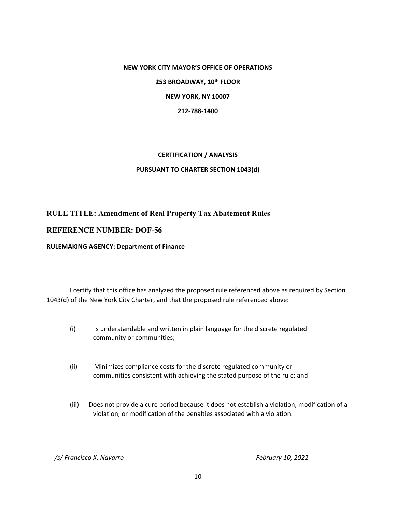#### **NEW YORK CITY MAYOR'S OFFICE OF OPERATIONS**

**253 BROADWAY, 10th FLOOR**

**NEW YORK, NY 10007**

**212-788-1400**

# **CERTIFICATION / ANALYSIS PURSUANT TO CHARTER SECTION 1043(d)**

# **RULE TITLE: Amendment of Real Property Tax Abatement Rules**

# **REFERENCE NUMBER: DOF-56**

#### **RULEMAKING AGENCY: Department of Finance**

I certify that this office has analyzed the proposed rule referenced above as required by Section 1043(d) of the New York City Charter, and that the proposed rule referenced above:

- (i) Is understandable and written in plain language for the discrete regulated community or communities;
- (ii) Minimizes compliance costs for the discrete regulated community or communities consistent with achieving the stated purpose of the rule; and
- (iii) Does not provide a cure period because it does not establish a violation, modification of a violation, or modification of the penalties associated with a violation.

 */s/ Francisco X. Navarro February 10, 2022*